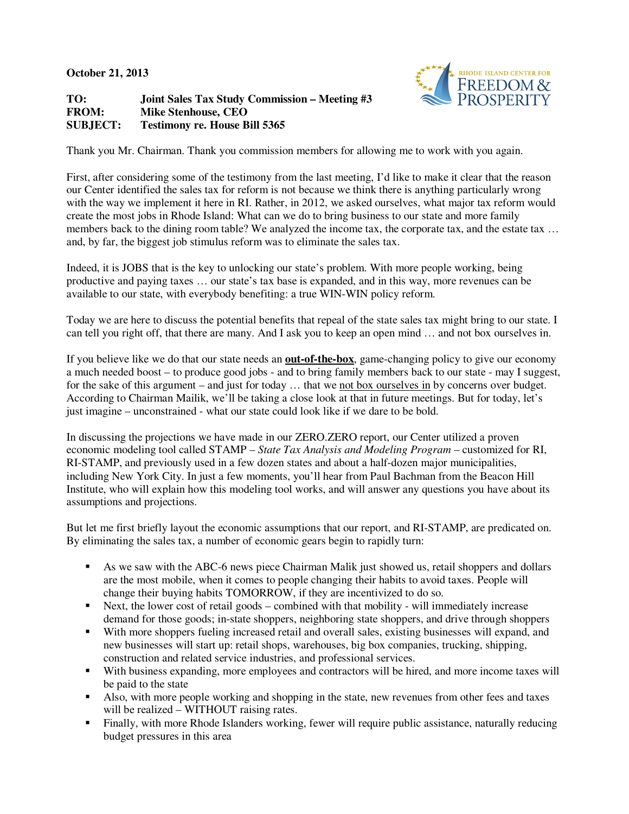**October 21, 2013** 

**TO: Joint Sales Tax Study Commission – Meeting #3 FROM: Mike Stenhouse, CEO SUBJECT: Testimony re. House Bill 5365** 



Thank you Mr. Chairman. Thank you commission members for allowing me to work with you again.

First, after considering some of the testimony from the last meeting, I'd like to make it clear that the reason our Center identified the sales tax for reform is not because we think there is anything particularly wrong with the way we implement it here in RI. Rather, in 2012, we asked ourselves, what major tax reform would create the most jobs in Rhode Island: What can we do to bring business to our state and more family members back to the dining room table? We analyzed the income tax, the corporate tax, and the estate tax ... and, by far, the biggest job stimulus reform was to eliminate the sales tax.

Indeed, it is JOBS that is the key to unlocking our state's problem. With more people working, being productive and paying taxes … our state's tax base is expanded, and in this way, more revenues can be available to our state, with everybody benefiting: a true WIN-WIN policy reform.

Today we are here to discuss the potential benefits that repeal of the state sales tax might bring to our state. I can tell you right off, that there are many. And I ask you to keep an open mind … and not box ourselves in.

If you believe like we do that our state needs an **out-of-the-box**, game-changing policy to give our economy a much needed boost – to produce good jobs - and to bring family members back to our state - may I suggest. for the sake of this argument – and just for today … that we not box ourselves in by concerns over budget. According to Chairman Mailik, we'll be taking a close look at that in future meetings. But for today, let's just imagine – unconstrained - what our state could look like if we dare to be bold.

In discussing the projections we have made in our ZERO.ZERO report, our Center utilized a proven economic modeling tool called STAMP *– State Tax Analysis and Modeling Program* – customized for RI, RI-STAMP, and previously used in a few dozen states and about a half-dozen major municipalities, including New York City. In just a few moments, you'll hear from Paul Bachman from the Beacon Hill Institute, who will explain how this modeling tool works, and will answer any questions you have about its assumptions and projections.

But let me first briefly layout the economic assumptions that our report, and RI-STAMP, are predicated on. By eliminating the sales tax, a number of economic gears begin to rapidly turn:

- As we saw with the ABC-6 news piece Chairman Malik just showed us, retail shoppers and dollars are the most mobile, when it comes to people changing their habits to avoid taxes. People will change their buying habits TOMORROW, if they are incentivized to do so.
- Next, the lower cost of retail goods combined with that mobility will immediately increase demand for those goods; in-state shoppers, neighboring state shoppers, and drive through shoppers
- With more shoppers fueling increased retail and overall sales, existing businesses will expand, and new businesses will start up: retail shops, warehouses, big box companies, trucking, shipping, construction and related service industries, and professional services.
- With business expanding, more employees and contractors will be hired, and more income taxes will be paid to the state
- Also, with more people working and shopping in the state, new revenues from other fees and taxes will be realized – WITHOUT raising rates.
- Finally, with more Rhode Islanders working, fewer will require public assistance, naturally reducing budget pressures in this area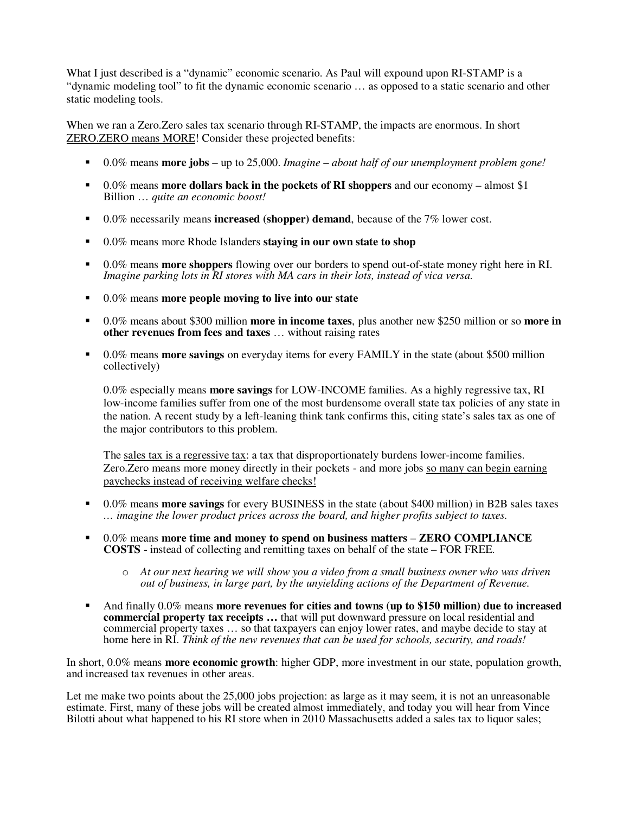What I just described is a "dynamic" economic scenario. As Paul will expound upon RI-STAMP is a "dynamic modeling tool" to fit the dynamic economic scenario … as opposed to a static scenario and other static modeling tools.

When we ran a Zero.Zero sales tax scenario through RI-STAMP, the impacts are enormous. In short ZERO.ZERO means MORE! Consider these projected benefits:

- 0.0% means **more jobs** up to 25,000. *Imagine about half of our unemployment problem gone!*
- 0.0% means **more dollars back in the pockets of RI shoppers** and our economy almost \$1 Billion … *quite an economic boost!*
- 0.0% necessarily means **increased (shopper) demand**, because of the 7% lower cost.
- 0.0% means more Rhode Islanders **staying in our own state to shop**
- 0.0% means **more shoppers** flowing over our borders to spend out-of-state money right here in RI. *Imagine parking lots in RI stores with MA cars in their lots, instead of vica versa.*
- 0.0% means **more people moving to live into our state**
- 0.0% means about \$300 million **more in income taxes**, plus another new \$250 million or so **more in other revenues from fees and taxes** … without raising rates
- 0.0% means **more savings** on everyday items for every FAMILY in the state (about \$500 million collectively)

0.0% especially means **more savings** for LOW-INCOME families. As a highly regressive tax, RI low-income families suffer from one of the most burdensome overall state tax policies of any state in the nation. A recent study by a left-leaning think tank confirms this, citing state's sales tax as one of the major contributors to this problem.

The sales tax is a regressive tax: a tax that disproportionately burdens lower-income families. Zero.Zero means more money directly in their pockets - and more jobs so many can begin earning paychecks instead of receiving welfare checks!

- 0.0% means **more savings** for every BUSINESS in the state (about \$400 million) in B2B sales taxes *… imagine the lower product prices across the board, and higher profits subject to taxes.*
- 0.0% means **more time and money to spend on business matters** – **ZERO COMPLIANCE COSTS** - instead of collecting and remitting taxes on behalf of the state – FOR FREE.
	- o *At our next hearing we will show you a video from a small business owner who was driven out of business, in large part, by the unyielding actions of the Department of Revenue.*
- And finally 0.0% means **more revenues for cities and towns (up to \$150 million) due to increased commercial property tax receipts …** that will put downward pressure on local residential and commercial property taxes … so that taxpayers can enjoy lower rates, and maybe decide to stay at home here in RI. *Think of the new revenues that can be used for schools, security, and roads!*

In short, 0.0% means **more economic growth**: higher GDP, more investment in our state, population growth, and increased tax revenues in other areas.

Let me make two points about the 25,000 jobs projection: as large as it may seem, it is not an unreasonable estimate. First, many of these jobs will be created almost immediately, and today you will hear from Vince Bilotti about what happened to his RI store when in 2010 Massachusetts added a sales tax to liquor sales;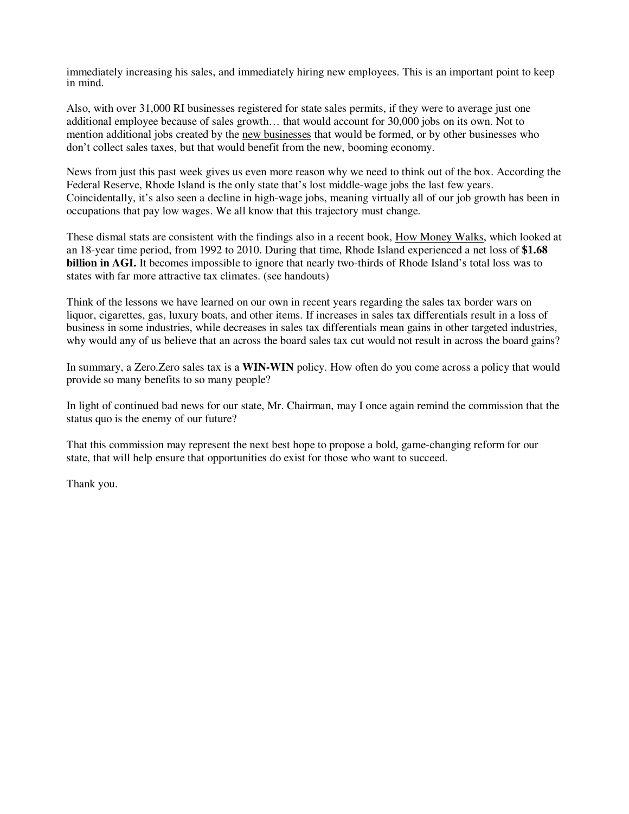immediately increasing his sales, and immediately hiring new employees. This is an important point to keep in mind.

Also, with over 31,000 RI businesses registered for state sales permits, if they were to average just one additional employee because of sales growth… that would account for 30,000 jobs on its own. Not to mention additional jobs created by the new businesses that would be formed, or by other businesses who don't collect sales taxes, but that would benefit from the new, booming economy.

News from just this past week gives us even more reason why we need to think out of the box. According the Federal Reserve, Rhode Island is the only state that's lost middle-wage jobs the last few years. Coincidentally, it's also seen a decline in high-wage jobs, meaning virtually all of our job growth has been in occupations that pay low wages. We all know that this trajectory must change.

These dismal stats are consistent with the findings also in a recent book, How Money Walks, which looked at an 18-year time period, from 1992 to 2010. During that time, Rhode Island experienced a net loss of **\$1.68 billion in AGI.** It becomes impossible to ignore that nearly two-thirds of Rhode Island's total loss was to states with far more attractive tax climates. (see handouts)

Think of the lessons we have learned on our own in recent years regarding the sales tax border wars on liquor, cigarettes, gas, luxury boats, and other items. If increases in sales tax differentials result in a loss of business in some industries, while decreases in sales tax differentials mean gains in other targeted industries, why would any of us believe that an across the board sales tax cut would not result in across the board gains?

In summary, a Zero.Zero sales tax is a **WIN-WIN** policy. How often do you come across a policy that would provide so many benefits to so many people?

In light of continued bad news for our state, Mr. Chairman, may I once again remind the commission that the status quo is the enemy of our future?

That this commission may represent the next best hope to propose a bold, game-changing reform for our state, that will help ensure that opportunities do exist for those who want to succeed.

Thank you.